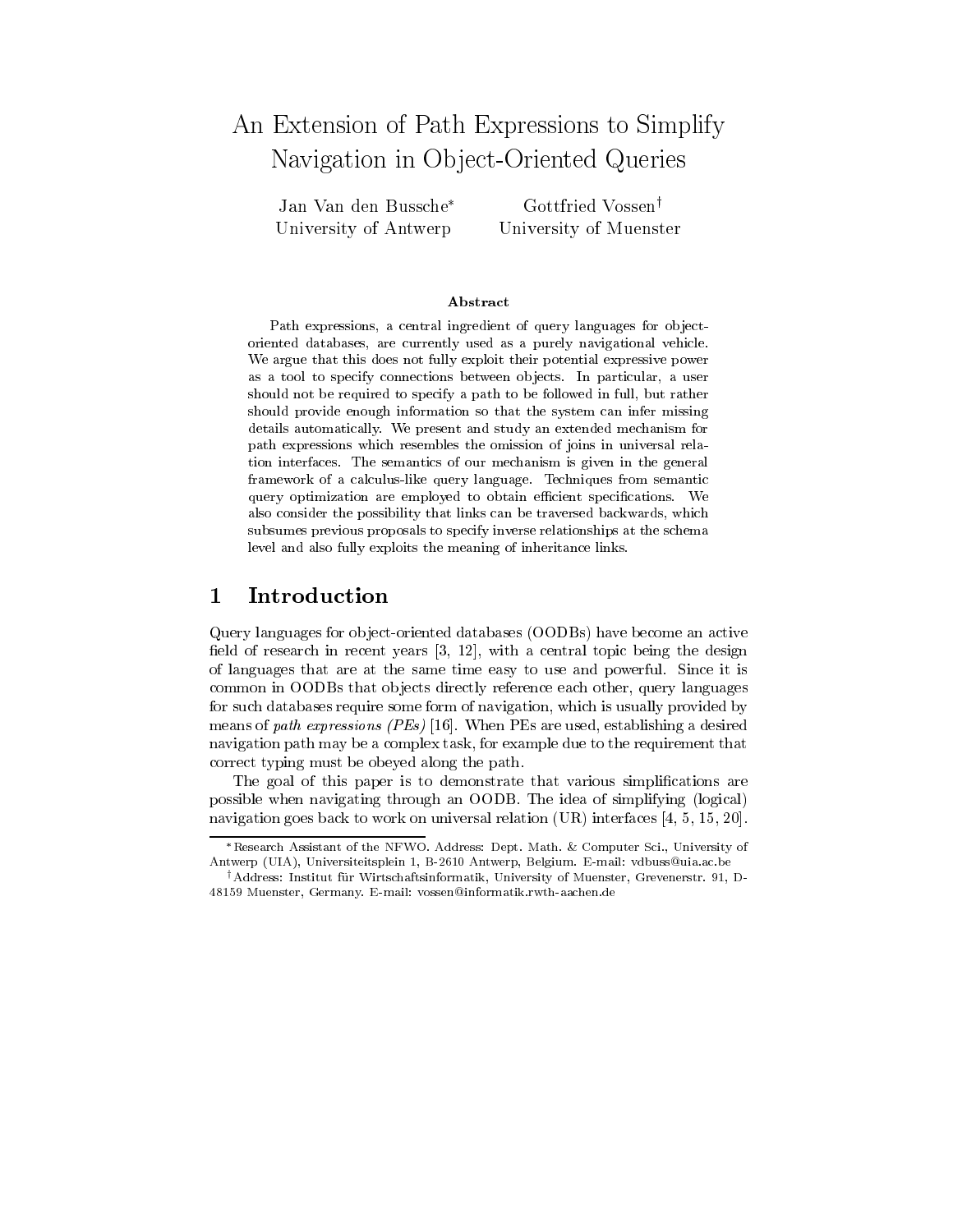# An Extension of Path Expressions to Simplify Navigation in Object-Oriented Queries

Jan Van den Bussche University of Antwerp

Gottfried Vossen<sup>†</sup> University of Muenster

### Abstract

Path expressions, a central ingredient of query languages for objectoriented databases, are currently used as a purely navigational vehicle. We argue that this does not fully exploit their potential expressive power as a tool to specify connections between objects- and particularly a user  $\sim$ should not be required to specify a path to be followed in full, but rather should provide enough information so that the system can infer missing details automatically- We present and study an extended mechanism for path expressions which resembles the omission of joins in universal rela tion interfaces- The semantics of our mechanism is given in the general framework of a calculuslike query language- Techniques from semantic query optimization are employed to obtain ecient specications- We also consider the possibility that links can be traversed backwards, which subsumes previous proposals to specify inverse relationships at the schema level and also fully exploits the meaning of inheritance links-

#### Introduction 1

Query languages for ob jectoriented databases OODBs- have become an active field of research in recent years  $\left[3, 12\right]$ , with a central topic being the design of languages that are at the same time time of the same powerful gives it is in common in OODBs that objects directly reference each other, query languages for such databases require some form of navigation, which is usually provided by means of path expressions PEs When PEs are used establishing a desired navigation path may be a complex task, for example due to the requirement that correct typing must be obeyed along the path

The goal of this paper is to demonstrate that various simplifications are possible when navigating the ignored of  $\sigma = 1$  and the idea of simplifying logicalnavigation goes back to work on universal relations ( ) and universal polymer ( ) and  $\sim$ 

Research Assistant of the NFWO Address Dept Math - Computer Sci University of antwerp (sate) Battersteitsplein B also antwerp Belgium Email van den Belgium Email van de

<sup>†</sup>Address: Institut für Wirtschaftsinformatik, University of Muenster, Grevenerstr. 91, D-48159 Muenster, Germany. E-mail: vossen@informatik.rwth-aachen.de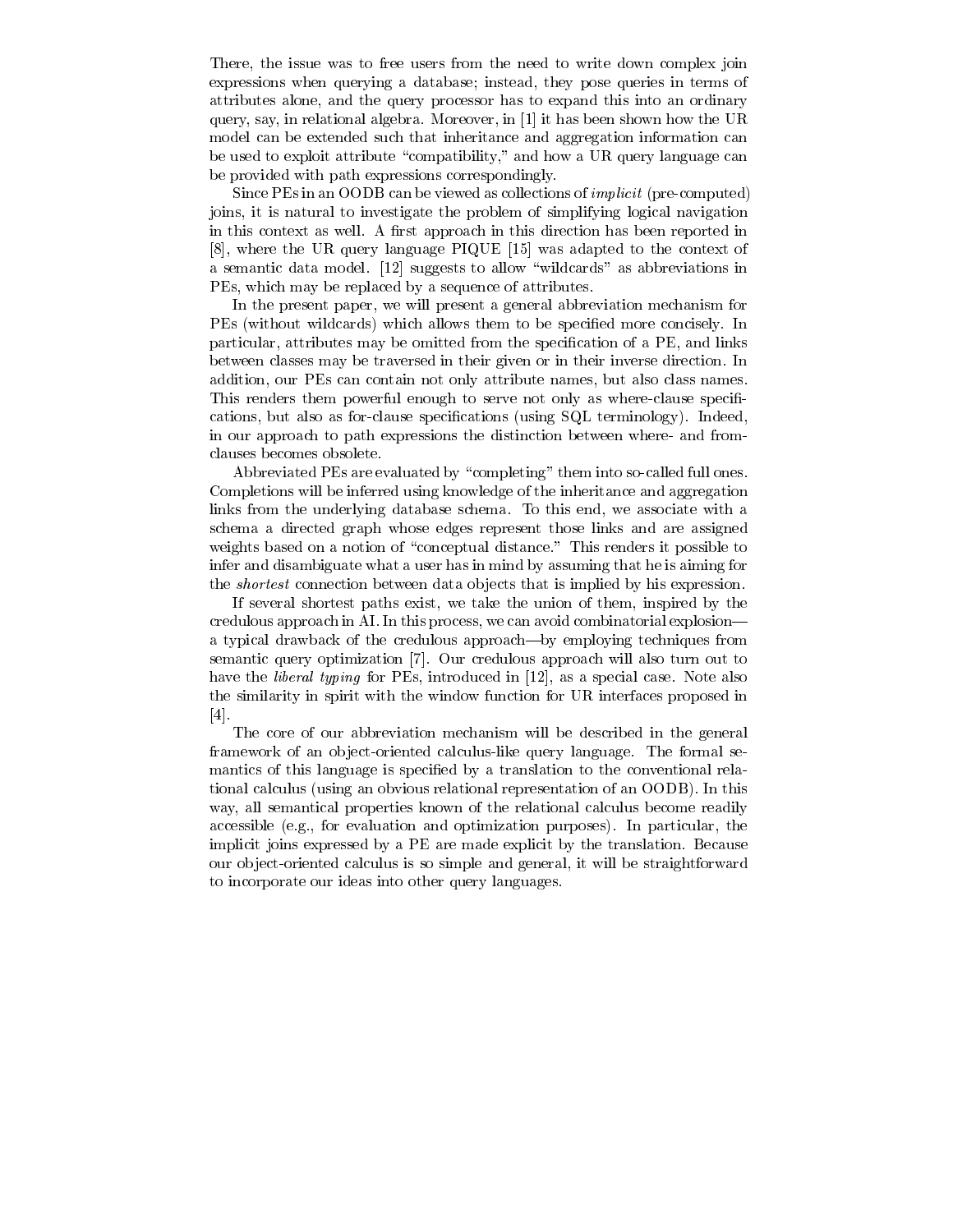There, the issue was to free users from the need to write down complex join expressions when querying a database; instead, they pose queries in terms of attributes alone, and the query processor has to expand this into an ordinary query say in relational algebra Moreover in it has been shown how the UR model can be extended such that inheritance and aggregation information can be used to exploit attribute "compatibility," and how a UR query language can be provided with path expressions correspondingly

Since PEs in an OODB can be viewed as collections of *implicit* (pre-computed) joins, it is natural to investigate the problem of simplifying logical navigation in this context as well A rst approach in this direction has been reported in [8], where the UR query language PIQUE [15] was adapted to the context of a semantic data model wild cards to allow with  $\mathcal{N}(\mathcal{M})$ PEs, which may be replaced by a sequence of attributes.

In the present paper, we will present a general abbreviation mechanism for - which allows the second more concerns that we see the species of the species of the species  $\mathcal{L}_i$  and particular, attributes may be omitted from the specification of a PE, and links between classes may be traversed in their given or in their inverse direction In addition, our PEs can contain not only attribute names, but also class names. This renders them powerful enough to serve not only as where-clause specifications but also as forced the species species using SQL terminology-species and species and species and species in our approach to path expressions the distinction between where and from clauses becomes obsolete

Abbreviated PEs are evaluated by "completing" them into so-called full ones. Completions will be inferred using knowledge of the inheritance and aggregation links from the underlying database schema To this end we associate with a schema a directed graph whose edges represent those links and are assigned weights based on a notion of conceptual distance on a notion of conceptual distance of conceptual distance of co infer and disambiguate what a user has in mind by assuming that he is aiming for the *shortest* connection between data objects that is implied by his expression.

If several shortest paths exist, we take the union of them, inspired by the creductive approaches and this process process we cannot compute the components of the computer and the components of a typical drawback of the credulous approach-by employing techniques from semantic query optimization  $\mathcal{W}$  our creduction  $\mathcal{W}$  approach with the semantic set of the set have the liberal typing for PEs introduced in as a special case Note also the similarity in spirit with the window function for UR interfaces proposed in  $[4]$ .

The core of our abbreviation mechanism will be described in the general framework of an ob jectoriented calculuslike query language The formal se mantics of this language is specified by a translation to the conventional relational calculus using an obvious relational representation of an OODB- In this way all semantical properties known of the relational calculus become readily accessible examples of the contract of the contract of the contract of the contract of the contract of the con implicit joins expressed by a PE are made explicit by the translation Because our object-oriented calculus is so simple and general, it will be straightforward to incorporate our ideas into other query languages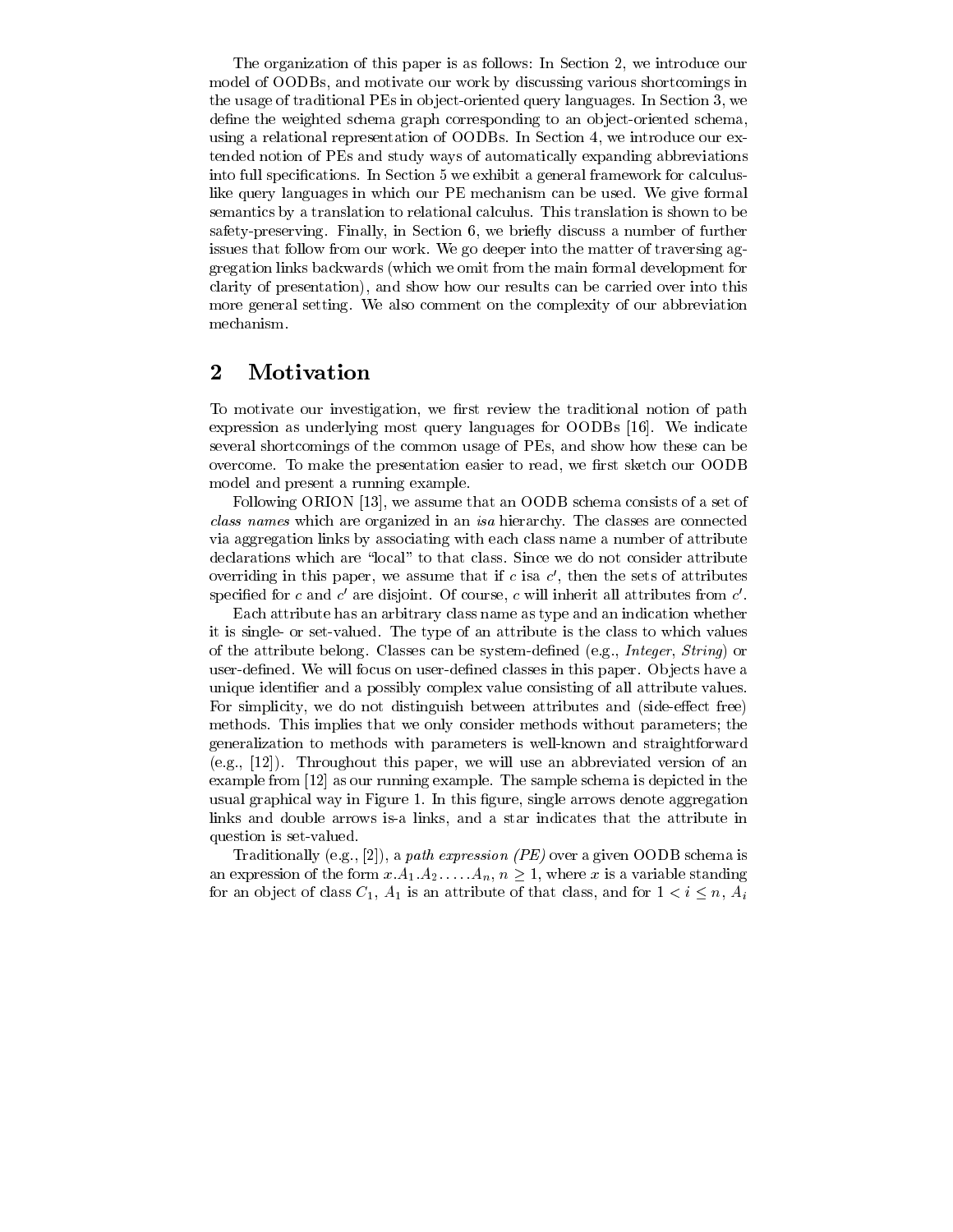The organization of this paper is as follows: In Section 2, we introduce our model of OODBs, and motivate our work by discussing various shortcomings in the usage of traditional PEs in ob jectoriented query languages In Section we define the weighted schema graph corresponding to an object-oriented schema, using a relational representation of OODBs In Section  we introduce our ex tended notion of PEs and study ways of automatically expanding abbreviations into full specifications in Section Calculus for calculus for calculus for calculus for calculus for like query languages in which our PE mechanism can be used We give formal semantics by a translation to relation to the latin calculus of the calculus of the shown to be seen in the st safetypreserving Finally in Section we briey discuss a number of further issues that follow from our work We go deeper into the matter of traversing ag gregation links backwards (which we omit from the main formal development for clarity of presentation- and show how our results can be carried over into this more general setting We also comment on the complexity of our abbreviation mechanism

## 2 Motivation

To motivate our investigation, we first review the traditional notion of path expression as  $\mathcal{L}_{\text{max}}$  as  $\mathcal{L}_{\text{max}}$  as  $\mathcal{L}_{\text{max}}$  ,  $\mathcal{L}_{\text{max}}$  ,  $\mathcal{L}_{\text{max}}$  ,  $\mathcal{L}_{\text{max}}$ several shortcomings of the common usage of PEs and show how these can be overcome To make the presentation easier to read we rst sketch our OODB model and present a running example

Following ORION [13], we assume that an OODB schema consists of a set of class names which are organized in an isa hierarchy The classes are connected via aggregation links by associating with each class name a number of attribute overriding in this paper, we assume that if  $c$  isa  $c$  , then the sets of attributes specified for  $c$  and  $c$  are disjoint. Of course,  $c$  will inherit all attributes from  $c$  .

Each attribute has an arbitrary class name as type and an indication whether it is single or setvalued The type of an attribute is the class to which values of the attribute belongs can be seen belongs can be seen belongs can be seen at the system of the system of the userdened classes in this paper of the classes in this paper of the classes in this paper of the classes in th unique identifier and a possibly complex value consisting of all attribute values. For simplicity, we do not distinguish between attributes and (side-effect free) methods implies that we only consider methods without without parameters the constant  $\sim$ generalization to methods with parameters is well-known and straightforward  $\mathcal{L}=\{1,2,3,4,5\}$  . The set of a paper we will use a paper with the set of all  $\mathcal{L}=\{1,2,3,4,5\}$ example from a state from a state from a state in the sample schema is depicted in the sample schema is depicted in usual graphical way in Figure In this gure single arrows denote aggregation links and double arrows is a links, and a star indicates that the attribute in question is set-valued.

 $T$ radition  $T$ radition  $T$  . The contract of  $T$  over a given  $T$  is a given  $T$  over a given  $T$ an expression of the form  $x.A_1.A_2.\ldots.A_n, n > 1$ , where x is a variable standing for an object of class  $C_1$ ,  $A_1$  is an attribute of that class, and for  $1 < i \leq n$ ,  $A_i$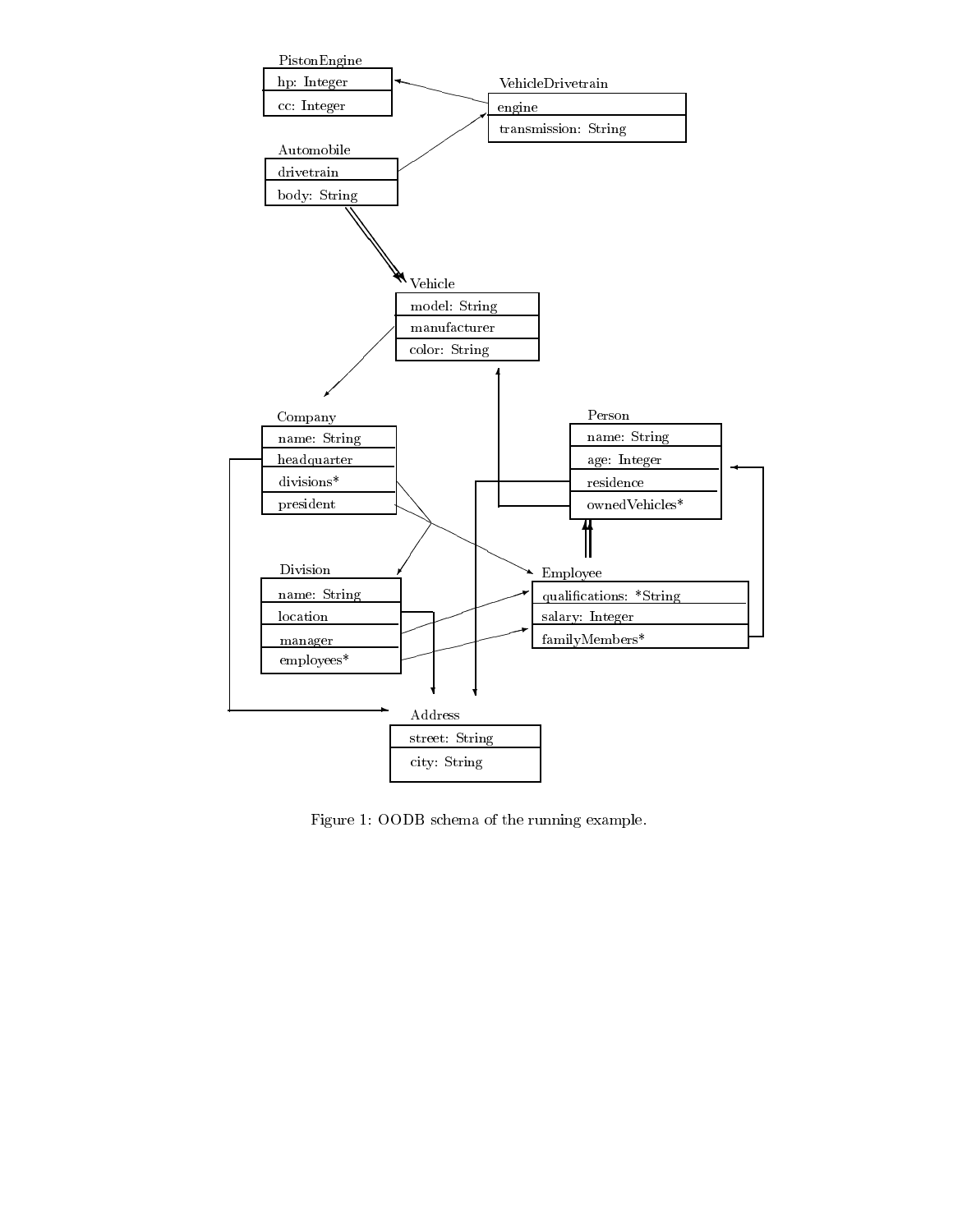

Figure 1: OODB schema of the running example.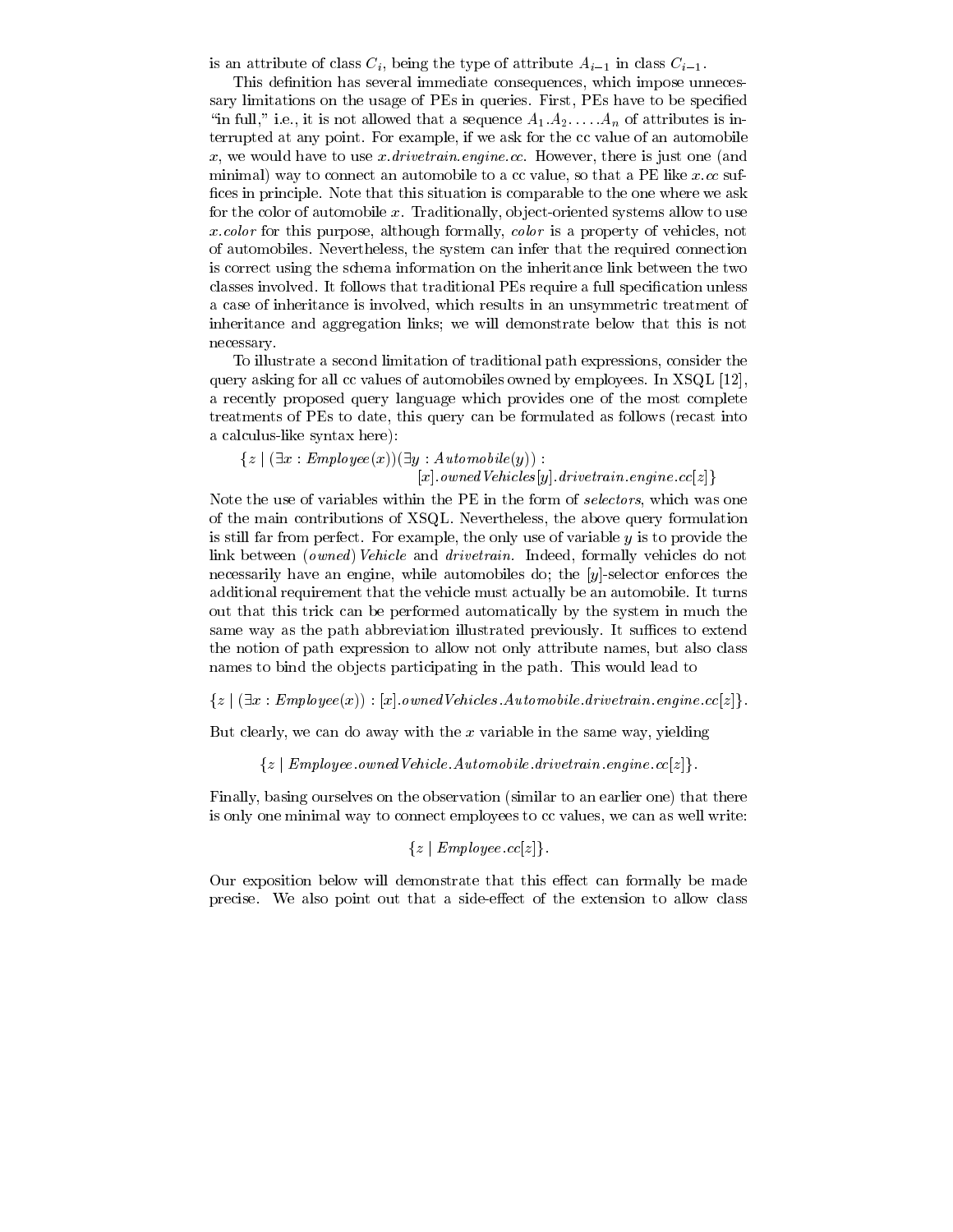is an attribute of class  $C_i$ , being the type of attribute  $A_{i-1}$  in class  $C_{i-1}$ .

This definition has several immediate consequences, which impose unnecessary limitations on the usage of PEs in queries First PEs have to be specied in full interest in the sequence  $\mathbf{a}$  is in the sequence  $\mathbf{a}$ terrupted at any point reference in the completed at all the contracts and all the complete of an automobile o ang word would have to use the control which is just one and the is given the property of the control of the c minimal- way to connect an automobile to a cc value so that a PE like x cc suf ces in principles that them this situation is comparable to the situation is comparable to the one who for the color of automobile x Traditionally ob jectoriented systems allow to use x-color for this purpose although formally color is a property of vehicles not of automobiles Nevertheless the system can infer that the required connection is correct using the schema information on the inheritance link between the two classes involved It follows that traditional PEs require a full specication unless a case of inheritance is involved, which results in an unsymmetric treatment of inheritance and aggregation links; we will demonstrate below that this is not necessary

To illustrate a second limitation of traditional path expressions consider the  $\mathcal{A}$  as a set all constants of automobiles of automobiles of automobiles owned by employees owned by employees a recently proposed query language which provides one of the most complete treatments of PEs to date, this query can be formulated as follows (recast into a calculus-like syntax here):

 $\{z \mid (z \in Lm) \cup y \in R \mid x \in Mm \cup m \cup m \cup m \}$ 

 $[x]$ . owned Vehicles  $[y]$ . drivetrain. engine.  $cc[z]$ 

Note the use of variables within the PE in the form of *selectors*, which was one of the main contributions of  $X$  above query formulations of  $X$  above query formulations of  $X$ is still far from perfect the only use of variable y is to provide the only use of variable y is to provide th link between owned -Vehicle and drivetrain- Indeed formally vehicles do not necessarily have an engine, while automobiles do; the  $[y]$ -selector enforces the additional requirement that the vehicle must actually be an automobile must also also an automobile out that this trick can be performed automatically by the system in much the same way as the paths which illustrate in motion previously. He same to it success the notion of path expression to allow not only attribute names, but also class names to bind the observed the participation in the participation of the pathology of the pathology of the path

 $\{z \mid (\exists x \in \mathit{improper}(x)) : |x| \text{ o}$  wheavenicles  $A$  altomobile arrivetrain, engine,  $cc|z|\}$  .

But clearly, we can do away with the  $x$  variable in the same way, yielding

 $\{z \mid \text{Employee.} owned Vehicle. Automobile. driven in. engine. cc[z]\}.$ 

Finally basing ourselves on the observation similar to an earlier one- that there is only one minimal way to connect employees to cc values, we can as well write:

```
{z \mid \textit{Employee}.\textit{cc}[z]}.
```
Our exposition below will demonstrate that this effect can formally be made precise that the present a side that is the extension to the extension to allow complete the extension to all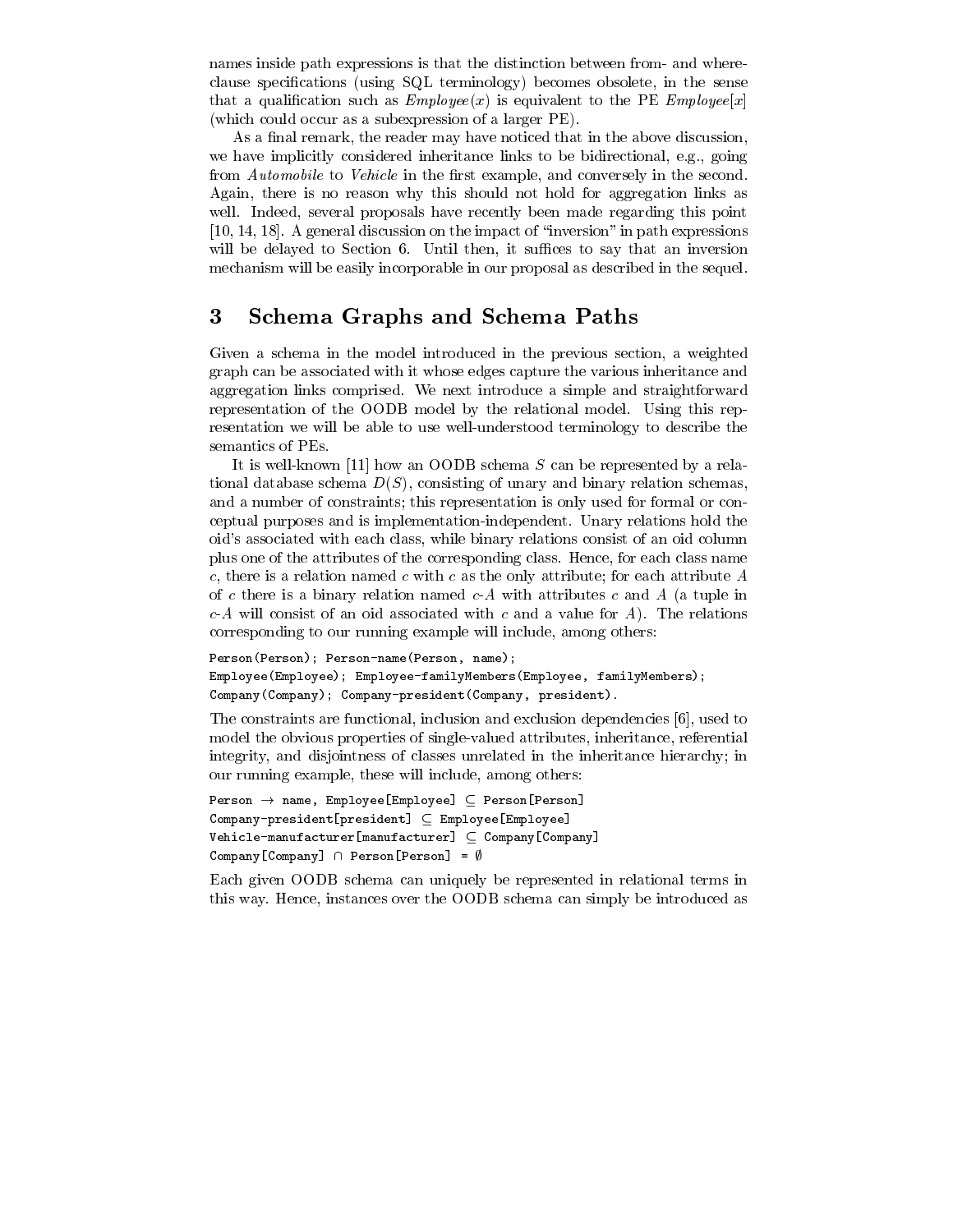names inside path expressions is that the distinction between from- and whereclause specications using SQL terminology- becomes obsolete in the sense that a qualication such as Employee  $\mathbb{R}^n$  as Employee x-Employee x-Employee x-Employee x-Employee x-Employee x-Employee x-Employee x-Employee x-Employee x-Employee x-Employee x-Employee x-Employee x-Employee x-Employ which could occur as a subset of a subset of a larger PE-Fig. as a subset of a larger PE-Fig.

As a final remark, the reader may have noticed that in the above discussion, we have implicitly considered inheritation in the bidirection of the bidirection  $\alpha$ from *Automobile* to *Vehicle* in the first example, and conversely in the second. Again there is no reason why this should not hold for aggregation links as well are not all proposals have recently been made regarding this point.  A general discussion on the impact of inversion in path expressions will be delayed to Section 2012 to Section 2012 to Section 2012 to Section 2013 to say that an inversion 2013 mechanism will be easily incorporable in our proposal as described in the sequel

#### 3 Schema Graphs and Schema Paths

Given a schema in the model introduced in the previous section a weighted graph can be associated with it whose edges capture the various inheritance and aggregation introduce a simple and straightforward compared and straightforward and straightforward and straightforward representation of the OODB model by the relational model Using this rep resentation we will be able to use well-understood terminology to describe the semantics of PEs

It is well-known [11] how an OODB schema  $S$  can be represented by a relational database schema DS- consisting of unary and binary relation schemas and a number of constraints; this representation is only used for formal or conceptual purposes and is implementationindependent Unary relations hold the oid's associated with each class, while binary relations consist of an oid column plus of the attributes of the corresponding class  $\sim$  the corresponding class  $\sim$ c, there is a relation named c with c as the only attribute; for each attribute  $A$ of c there is a binary relation named  $c-A$  with attributes c and A (a tuple in case will consist of an oid associated with cand a value of value for A-, which candidates corresponding to our running example will include, among others:

```
PersonPerson-
 PersonnamePerson name-
EmployeeEmployee-
 EmployeefamilyMembersEmployee familyMembers-
CompanyCompany-
 CompanypresidentCompany president
```
The constraints are functional, inclusion and exclusion dependencies [6], used to model the obvious properties of single-valued attributes, inheritance, referential integrity, and disjointness of classes unrelated in the inheritance hierarchy; in our running example, these will include, among others:

```
Person \rightarrow name, Employee [Employee] \subseteq Person [Person]
Company-president[president] \subseteq Employe[Employe]Vehicle-manufacturer [manufacturer] \subseteq Company [Company]
CompanyCompany -
 PersonPerson
```
Each given OODB schema can uniquely be represented in relational terms in this way Hence instances over the OODB schema can simply be introduced as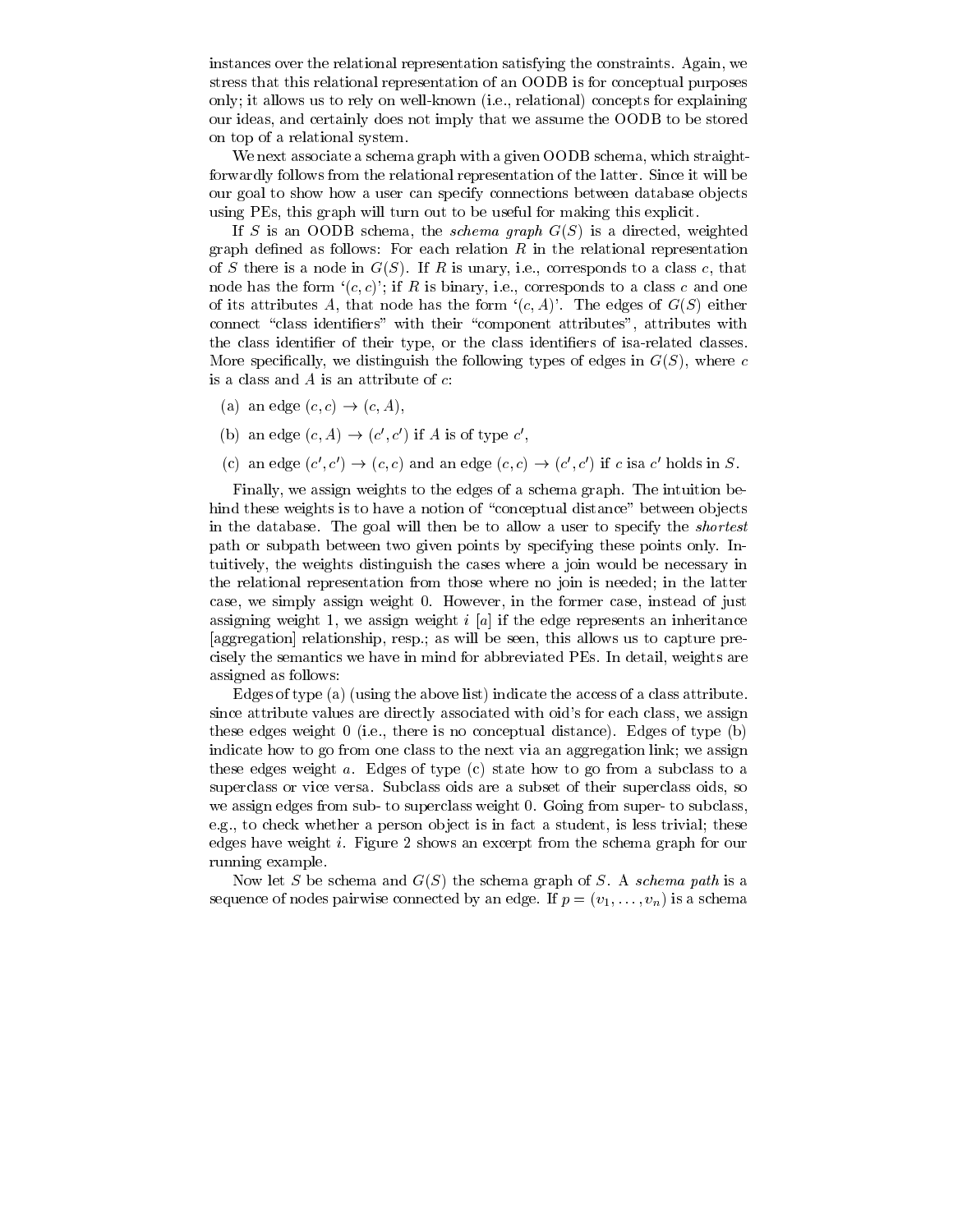instances over the relational representation satisfying the constraints Again we stress that this relational representation of an OODB is for conceptual purposes only it allows us to rely on wellknown i e relational- concepts for explaining our ideas, and certainly does not imply that we assume the OODB to be stored on top of a relational system

We next associate a schema graph with a given OODB schema, which straightforwardly follows from the relational representation of the latter Since it will be our goal to show how a user can specify connections between database ob jects using PEs, this graph will turn out to be useful for making this explicit.

If S is an OODB schema the schema graph GS- is a directed weighted graph defined as follows: For each relation  $R$  in the relational representation of S there is a node in GS- is a node in GS- is unary in GS- is unary in GS- is unary in GS- is unary in GS- i node has the form c-responds to a correspond to a correspond to a class corresponds to a class corresponds to a of its attributes A that no definition and form c-state form c-state form c-state form c-state form c-state for connect "class identifiers" with their "component attributes", attributes with the class identifier of their type, or the class identifiers of isa-related classes.  $\mathcal{M}$  such that following the following the following types of edges in GS-( $\omega$  ), where contains in GSis a class and  $A$  is an attribute of  $c$ :

- (a) an edge  $(c, c) \rightarrow (c, A)$ ,  $\mathbf{B}$  and  $\mathbf{B}$  are the set of  $\mathbf{B}$
- (b) an edge  $(c, A) \rightarrow (c, c)$  if A is of type  $c$ , the contract of the contract of the contract of the contract of the contract of
- (c) an edge (c, c)  $\rightarrow$  (c, c) and an edge (c, c)  $\rightarrow$  (c, c) if c isa c noids in S.

Finally we assign weights to the edges of a schema graph The intuition be hind these weights is to have a notion of "conceptual distance" between objects in the database The goal will then be to allow a user to specify the shortest path or subpath between two given points by specifying these points only In tuitively the weights distinguish the cases where a join would be necessary in the relational representation from those where no join is needed; in the latter case we simply assign weight of the former case instead of instead of just the former case in assigning weight 1, we assign weight  $i \nvert a \rvert$  if the edge represents an inheritance aggregation relationship respectively to the second contract of the seed the seed presented and the second contract of the second second second second second second second second second second second second second second s cisely the semantics we have in mind for abbreviated PEs In detail weights are assigned as follows

Edges of type a- using the above list- indicate the access of a class attribute since attribute values are directly associated with oid's for each class, we assign these edges weight is not the conceptual distance of the state  $\mathcal{A}$ indicate how to go from one class to the next via an aggregation link; we assign these edges weight as type course to a subclass to go from a subclass to a subclass to a superclass of vice versa. Subclass of the superclass of the subset of the superclass of the superclass of the we assign the group from subclass weight to subclass weight to subclass weight to subclass the subclass of the e g to check whether a person ob ject is in fact a student is less trivial these edges have weight i Figure shows an excerpt from the schema graph for our running example

Now let S be schema and GS- the schema graph of S A schema path is a sequence of nodes pairwise connected by an edge in p  $\mathbb{P}^1 \times \{ \cdot \}$  and  $\mathbb{P}^1 \times \{ \cdot \}$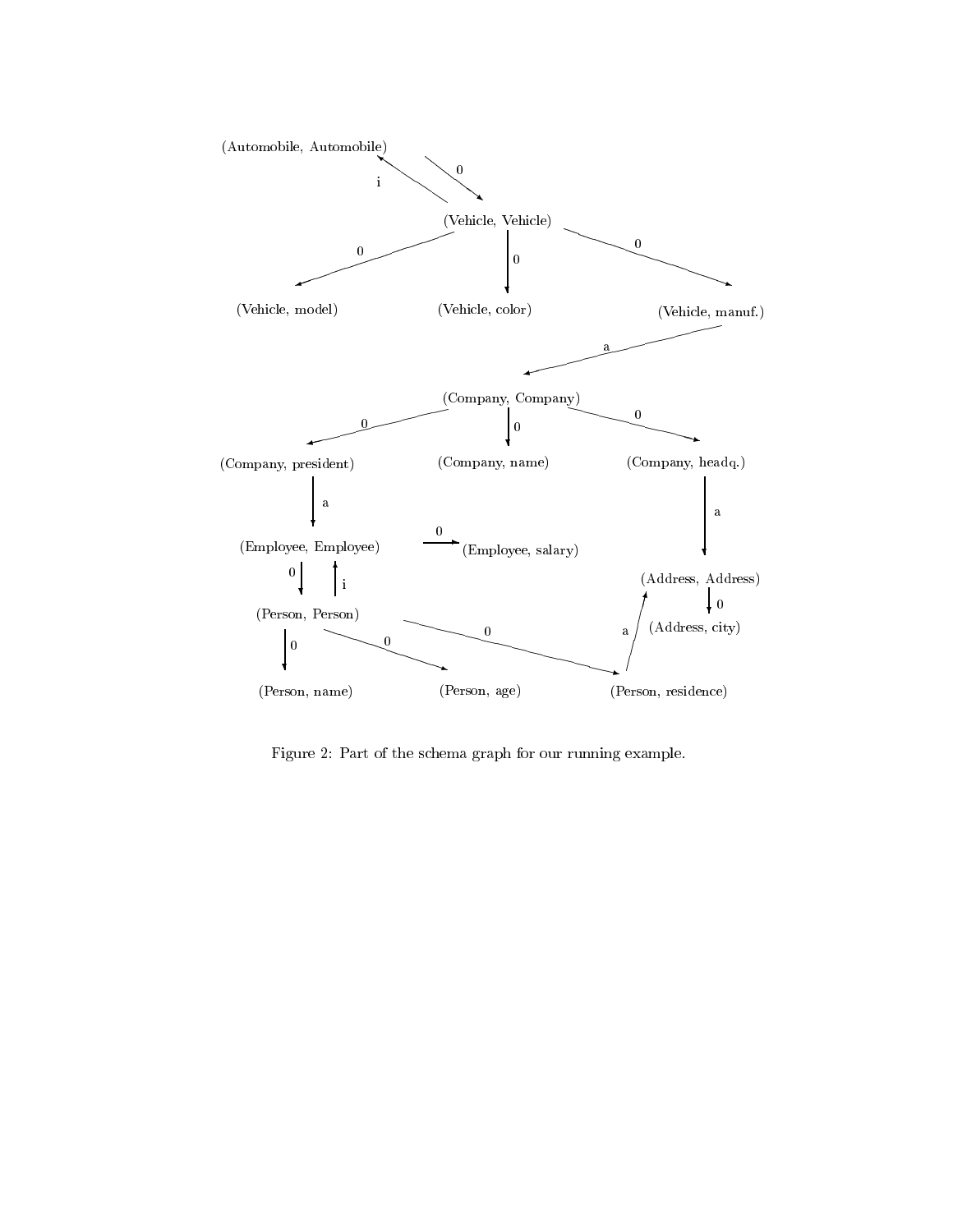

Figure 2: Part of the schema graph for our running example.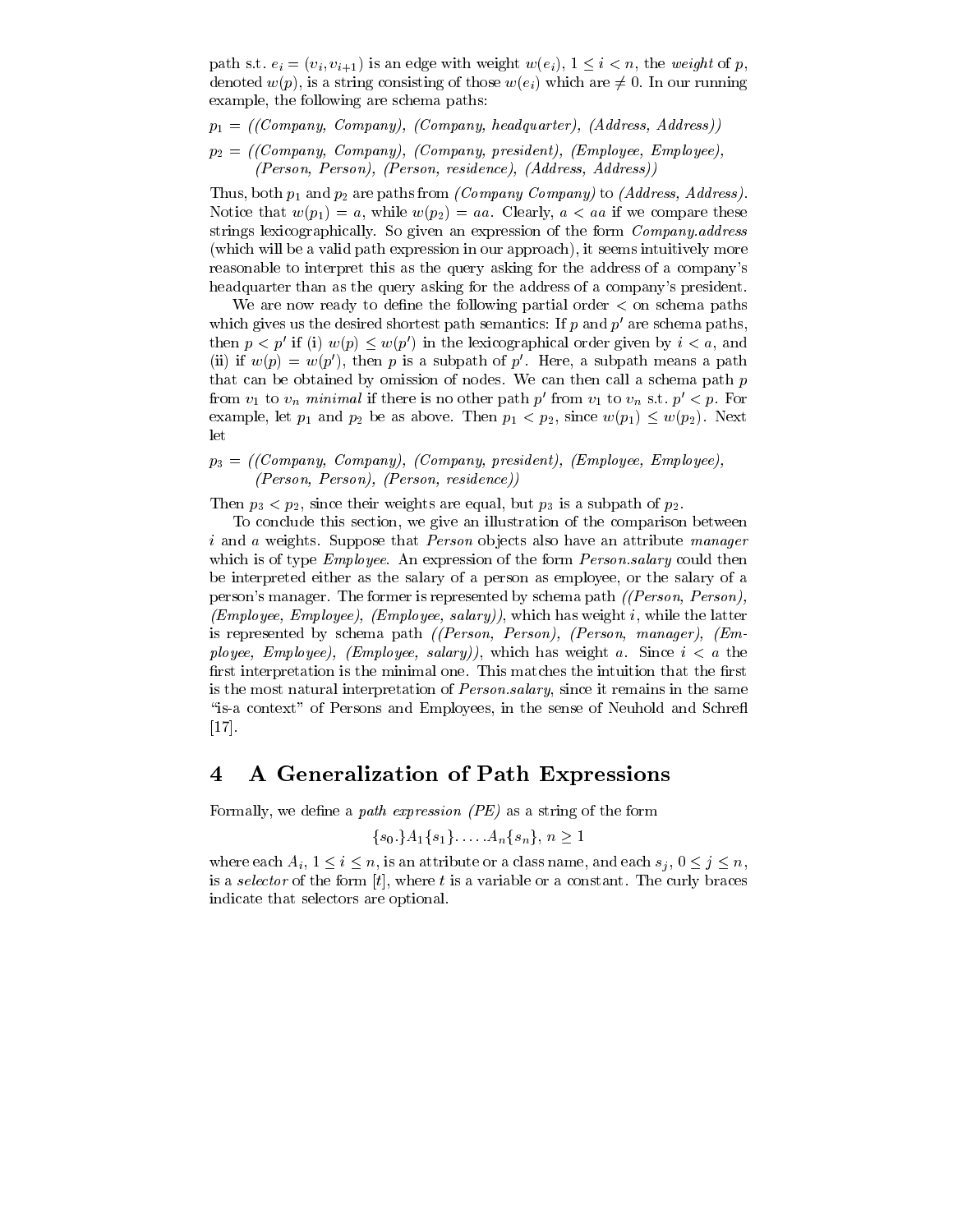path s.t.  $e_i = (v_i, v_{i+1})$  is an edge with weight  $w(e_i)$ ,  $1 \leq i \leq n$ , the weight of p, denoted  $w(p)$ , is a string consisting of those  $w(e_i)$  which are  $\neq$  0. In our running example, the following are schema paths:

- $p_1 = ((Company, Company), (Company, headquarter), (Address, Address))$
- $p_2 = ((Company, Company), (Company, president), (Employee, Employee),$  $(Person, Person), (Person, residue, (Address, Address))$

Thus, both  $p_1$  and  $p_2$  are paths from (Company Company) to (Address, Address).  $\sim$  . The while was we compare that we compare the compare through the second compare through the compare through  $\sim$ strings lexicographically So given an expression of the form Company-address which will be a valid path expression in our approach- it seems in our approach- it seems intuitively more approachreasonable to interpret this as the query asking for the address of a companys headquarter than as the query asking for the address of a company's president.

We are now ready to define the following partial order  $\lt$  on schema paths which gives us the desired shortest path semantics: If  $p$  and  $p'$  are schema paths, then  $p \leq p$  if (1)  $w(p) \leq w(p)$  in the lexicographical order given by  $i \leq a$ , and (ii) if  $w(p) = w(p)$ , then p is a subpath of p. Here, a subpath means a path that can be obtained by omission of nodes We can then call a schema path p from  $v_1$  to  $v_n$  *minimal* if there is no other path p from  $v_1$  to  $v_n$  s.t.  $p < p$ . For example, let  $p_1$  and  $p_2$  be as above. Then  $p_1 < p_2$ , since  $w(p_1) \leq w(p_2)$ . Next let

## $p_3 = ((Company, Company), (Compary, president), (Employee, Employee),$  $(Person, Person), (Person, residue)$

Then  $p_3 < p_2$ , since their weights are equal, but  $p_3$  is a subpath of  $p_2$ .

To conclude this section, we give an illustration of the comparison between i and a weights of the Person observed also have also have an attribute manager with manager which is of type Employee and inpression of the form Person-Could then  $\beta$  then then  $\beta$ be interpreted either as the salary of a person as employee or the salary of a persons manager and former is represented by schematic person person path  $\alpha$  $(Employee, Employee), (Employee, salary), which has weight i, while the latter$ is represented by schema path  $(Person, Person)$ ,  $(Person, manager)$ ,  $(Em$ ployee Employee I Employee salary which has well as well as well as well as well as rst interpretation is the minimal one This matches the intuition that the rst is the most natural interpretation of Person-salary since it remains in the same "is-a context" of Persons and Employees, in the sense of Neuhold and Schreft  $\vert 17 \vert$ .

#### $\overline{\mathbf{4}}$ A Generalization of Path Expressions

Formally, we define a *path expression (PE)* as a string of the form

$$
\{s_0.\}A_1\{s_1\}\ldots\ldots A_n\{s_n\},\,n\geq 1
$$

where each  $A_i, 1 \leq i \leq n$ , is an attribute or a class name, and each  $s_j, 0 \leq j \leq n$ , is a current of the form the file where t is a variable or a constant measure or a constant or a constant or indicate that selectors are optional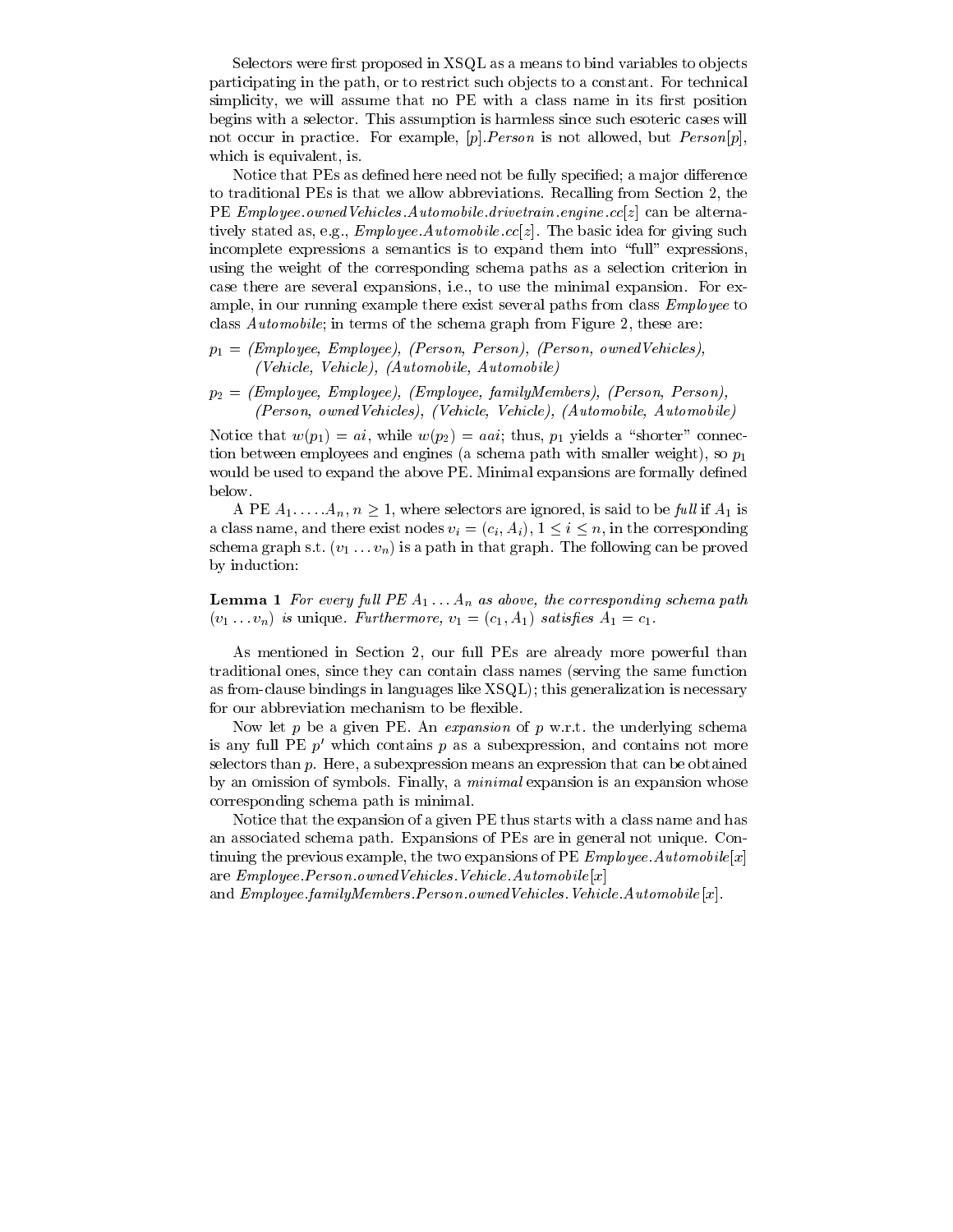Selectors were first proposed in  $XSQL$  as a means to bind variables to objects participating in the path or to restrict such ob jects to a constant For technical simplicity, we will assume that no PE with a class name in its first position begins with a selector This assumption is harmless since such esoteric cases will not occur in practice is not allowed but Persons and in the case of the sample of the second person. which is equivalent, is.

Notice that PEs as defined here need not be fully specified; a major difference to traditional PEs is that we allow abbreviations Recalling from Section the PE Employee owned Vehicles. Automobile drivetrain engine  $cc[z]$  can be alternatively stated as e g Employee Automobile ccz The basic idea for giving such incomplete expressions a semantics is to expand them into "full" expressions, using the weight of the corresponding schema paths as a selection criterion in case there are several expansions i e to use the minimal expansion For ex ample, in our running example there exist several paths from class  $Employee$  to class  $Automobile$ ; in terms of the schema graph from Figure 2, these are:

 $p_1 = (Employee, Employee), (Person, Person), (Person, ownedVehicles),$  $(Vehicle, Vehicle), (Automobile, Automatic)$ 

 $p_2 = (Employee, Employee), (Employee, familyMembers), (Person, Person),$  $(Person, ownedVehicles), (Vehicle, Vehicle), (Automobile, Automatic)$ 

Notice that wp- ai while wp- aai thus p yields a shorter connec tion between employees and engines a schema path with smaller weight- so p would be used to expand the above PE above PE above PE and the above PE above PE above PE above PE above PE above PE below

A PE  $A_1$ ,  $A_n$ ,  $n \geq 1$ , where selectors are ignored, is said to be full if  $A_1$  is a class name, and there exist nodes  $v_i = (c_i, A_i),\, 1 \leq i \leq n,$  in the corresponding  $\Omega$  is a path in the following can be path in the following can be path in the following can be proved in the following can be path in the following can be path in the following can be path in the following can be path i by induction

**Lemma 1** For every full  $PE A_1 \ldots A_n$  as above, the corresponding schema path v - 1 is unique-v c- is unique-v c- is v-1 v-1 c- c- is - c- c- c- i

As mentioned in Section 2, our full PEs are already more powerful than traditional ones, since they can contain class names (serving the same function as from a from  $\alpha$  in languages like  $\alpha$  . This generalization is necessary in the contract of  $\alpha$ for our abbreviation mechanism to be flexible.

Now let p be a given PE An expansion of p w r t the underlying schema is any full PE  $p'$  which contains p as a subexpression, and contains not more selectors than p Here a subexpression means an expression that can be obtained by an omission of symbols Finally a minimal expansion is an expansion whose corresponding schema path is minimal

Notice that the expansion of a given PE thus starts with a class name and has and associated schema paths are pathware in a disc are  $\lambda$  -discussed and uniquely  $\sim$ tinuing the previous example, the two expansions of PE  $Employee. Automobile[x]$ are  $Employee\,Person\,ounded\,Vehicle\,. \,Public\,A\,ut\,o\,while \, [x]$ 

and  $Employee. family Members. Person. owned Vehicles. Vehicle. Automatic [x].$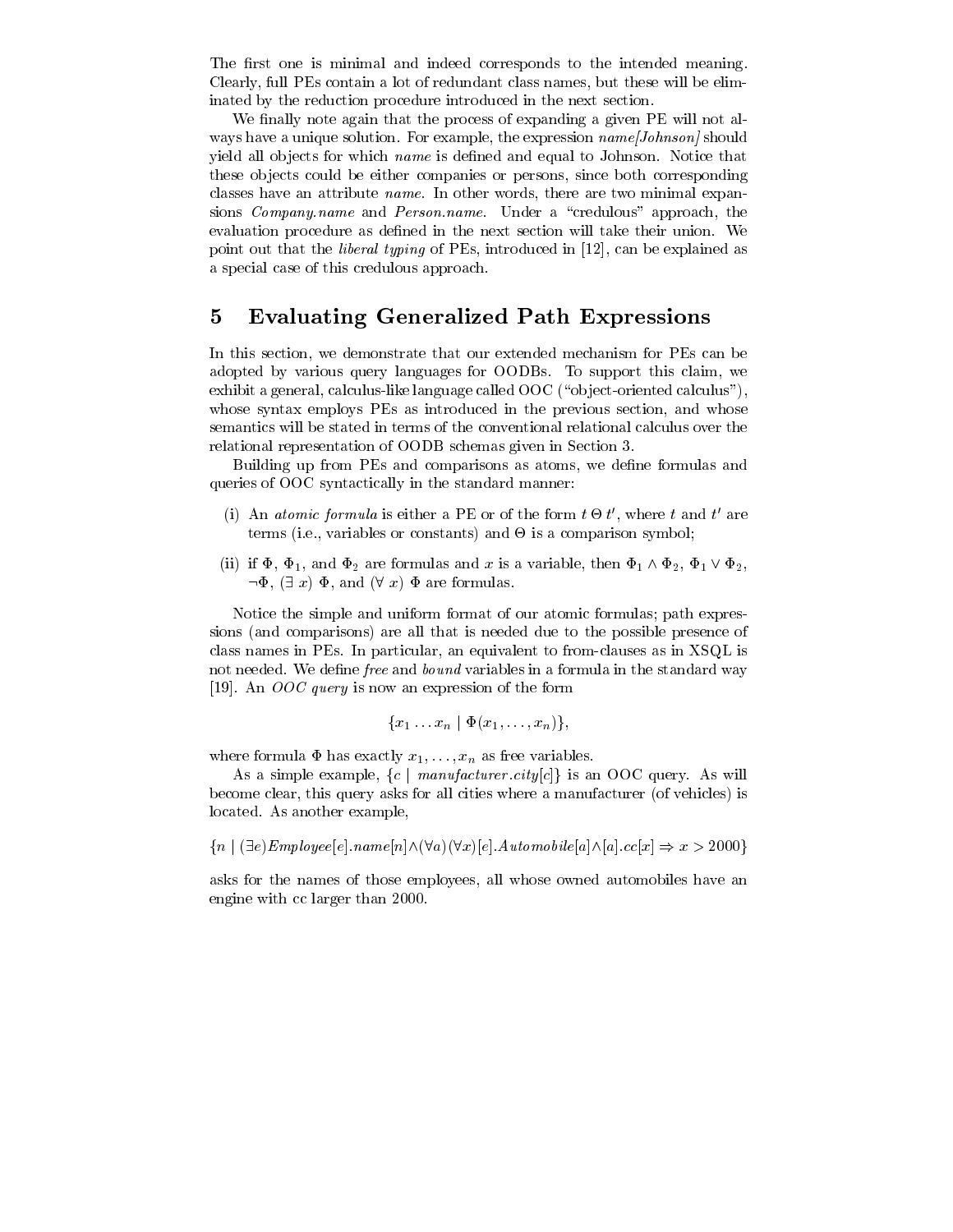The first one is minimal and indeed corresponds to the intended meaning. Clearly full PEs contain a lot of redundant class names but these will be elim inated by the reduction procedure introduced in the next section

We finally note again that the process of expanding a given PE will not always have a unique solution of the expression and expression  $\mathcal{L}_{\mathcal{F}}$ yield also for yield to in the state is denoted and extending to analyze the Johnson of the state that is a st these objects could be either companies or persons, since both corresponding classes have an attribute name In other words there are two minimal expan sions Company-name and Person-name Under a credulous approach the evaluation procedure as dened in the next section will take their union We point out that the *liberal typing* of PEs, introduced in  $[12]$ , can be explained as a special case of this credulous approach

#### Evaluating Generalized Path Expressions  $\bf{5}$

In this section, we demonstrate that our extended mechanism for PEs can be adopted by various query languages for OODBs To support this claim we exhibit a general, calculus-like language called  $OOC$  ("object-oriented calculus"), **The Community of the Community** whose syntax employs PEs as introduced in the previous section, and whose semantics will be stated in terms of the conventional relational calculus over the relational representation of OODB schemas given in Section

Building up from PEs and comparisons as atoms we dene formulas and queries of OOC syntactically in the standard manner

- (i) An atomic formula is either a PE or of the form  $\iota \cup \iota$ , where  $\iota$  and  $\iota$  are terms i e variables or constants- and is a comparison symbol
- (ii) if  $\Psi$ ,  $\Psi_1$ , and  $\Psi_2$  are formulas and x is a variable, then  $\Psi_1 \wedge \Psi_2$ ,  $\Psi_1 \vee \Psi_2$ ,  $\neg \Psi$ ,  $\Box x$  ,  $\Psi$ , and (v x)  $\Psi$  are formulas.

Notice the simple and uniform format of our atomic formulas; path expressions and comparisons- are all that is needed due to the possible presence of class names in PES in particular and particular and particular and particular and particular and particular an not needed We dene free and bound variables in a formula in the standard way  $\mathcal{A}$  and  $\mathcal{A}$  and  $\mathcal{A}$  are the form of the form of the form of the form of the form of the form of the form of the form of the form of the form of the form of the form of the form of the form of the form of th

$$
\{x_1 \ldots x_n \mid \Phi(x_1,\ldots,x_n)\},\
$$

where  $\mu$  as free variables  $\mu$  as free variables variables  $\mu$ 

As a simple example,  $\{c \mid \textit{manu}$  acturer cuy $|c|$  is an OOC query. As will become clear this query asks for all cities where a manufacturer of vehicles- is located as another example of the state of the state of the state of the state of the state of the state of the

 $\{n \mid (\exists e) \textit{improper}(e|e|.\textit{name} |n| \wedge (\forall a)(\forall x) |e|.\textit{Automovile} |a| \wedge |a|.\textit{cc}|x| \Rightarrow x > 2000\}$ 

asks for the names of those employees, all whose owned automobiles have an engine with cc larger than 2000.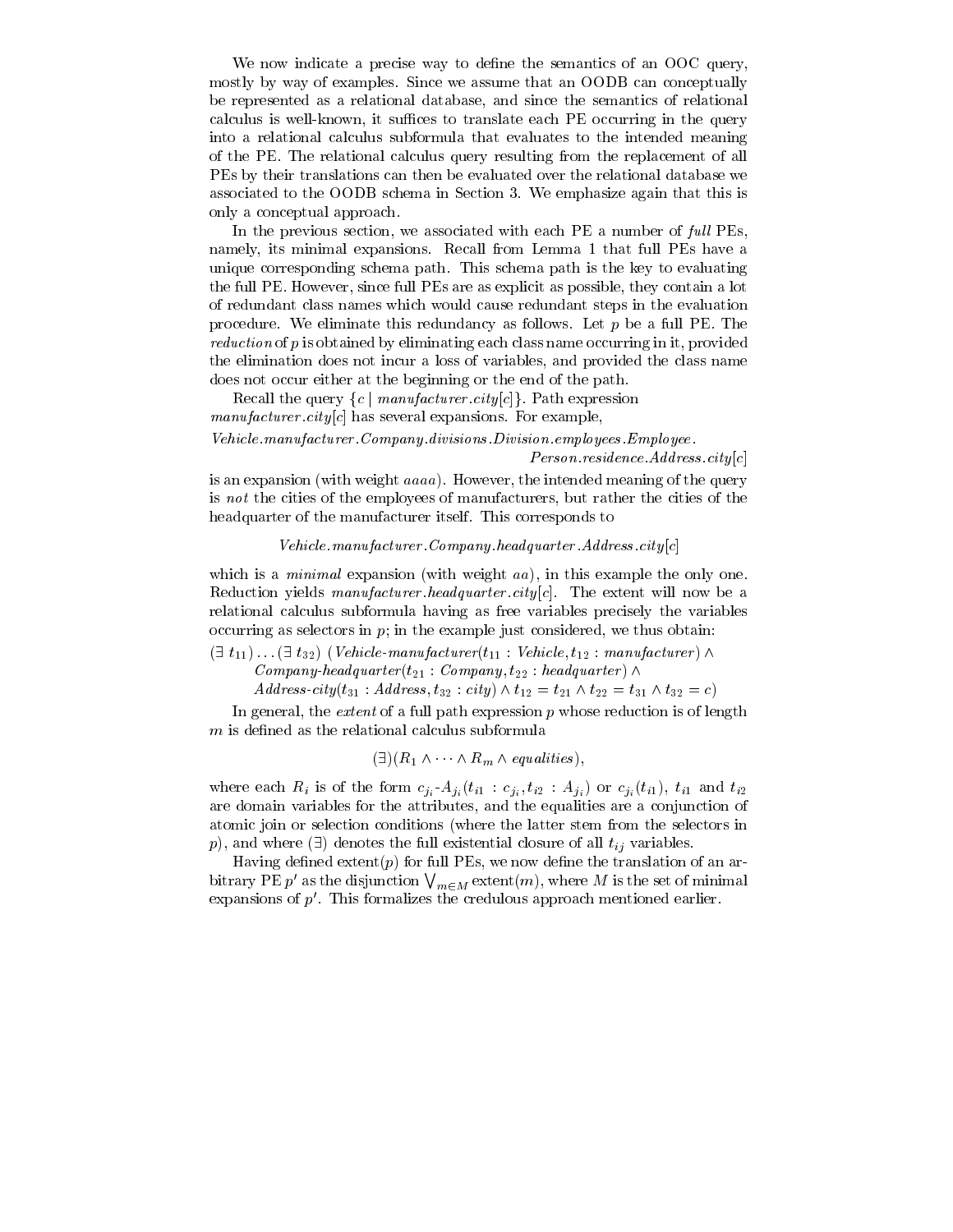We now indicate a precise way to define the semantics of an OOC query, mostly by way of examples Since we assume that an OODB can conceptually be represented as a relational database, and since the semantics of relational calculus is well-known, it suffices to translate each PE occurring in the query into a relational calculus subformula that evaluates to the intended meaning of the PE The relational calculus query resulting from the replacement of all PEs by their translations can then be evaluated over the relational database we associated to the OODB schematic in Section I. T. Section that the this is in Section that the OODB only a conceptual approach

In the previous section, we associated with each PE a number of  $full$  PEs, namely its minimal expansions Recall from Lemma that full PEs have a unique corresponding schema path This schema path is the key to evaluating the full PE However since full PEs are as explicit as possible they contain a lot of redundant class names which would cause redundant steps in the evaluation procedure this reduction code as followship for assessment with the full PET and the full PET and the full PET  $reduction of  $p$  is obtained by eliminating each class name occurring in it, provided$ the elimination does not incur a loss of variables and provided the class name does not occur either at the beginning or the end of the path

Recall the query  $\{c \mid manufacturer\; city[c]\}$ . Path expression manufacturer city constants and constants of the constants of the constants of the constants of the constants o

Vehicle manufacturer Company divisions Division employees Employee.

 $Person. residence. Address. city [c]$ 

is an expansion with weight aaaa- However the intended meaning of the query is not the cities of the employees of manufacturers, but rather the cities of the headquarter of the manufacturer itself This corresponds to

## Vehicle manufacturer Company headquarter  $Address$ .  $city[c]$

which is a minimal expansion with with with with with with with  $\mathcal{N}$  and  $\mathcal{N}$ reduction yields manufacturer headquarter in the extent will now be a second will now be a second will now be relational calculus subformula having as free variables precisely the variables occurring as selectors in  $p$ ; in the example just considered, we thus obtain:

 $( \exists t_1_1) \ldots (\exists t_{32})$  (Venicle-manufacturer( $t_{11}$ ): Venicle,  $t_{12}$ ): manufacturer ( $\wedge$ 

 $\mathcal{L}$ ompany-neaaquarter $(t_{21} + \mathcal{L}ompany, t_{22} + \mathcal{L}omquar$ ter)  $\wedge$ 

 $Aaaress-cuty(t_{31}: Aaaress, t_{32}: cuty) \wedge t_{12} = t_{21} \wedge t_{22} = t_{31} \wedge t_{32} = c$ 

In general, the *extent* of a full path expression  $p$  whose reduction is of length  $m$  is defined as the relational calculus subformula For a run pack expression p whose reduced in the subformula<br>  $(\exists)(R_1 \wedge \cdots \wedge R_m \wedge equalities),$ 

where each Rig is of the form cji  $\mathbb{F} f_1$  (101  $\mathbb{F} = f_2$ ) (04  $\mathbb{F} = \mathbb{F} f_1$ ) or cji (101) (01  $\mathbb{F} = \mathbb{F} f_2$ are domain variables for the attributes, and the equalities are a conjunction of atomic join or selection conditions where the latter stem from the selectors in  $p$ ), and where  $\Box$ ) denotes the full existential closure of all  $\iota_{ij}$  variables.

. For full  $\alpha$  for full periodic periodic periodic of an arrangement of an arrangement of an arrangement of an arrangement of  $\alpha$ bitrary PE  $p'$  as the disjunction  $\bigvee_{m \in M} \mathrm{extent}(m),$  where  $M$  is the set of minimal expansions of  $p$  . This formalizes the credulous approach mentioned earlier.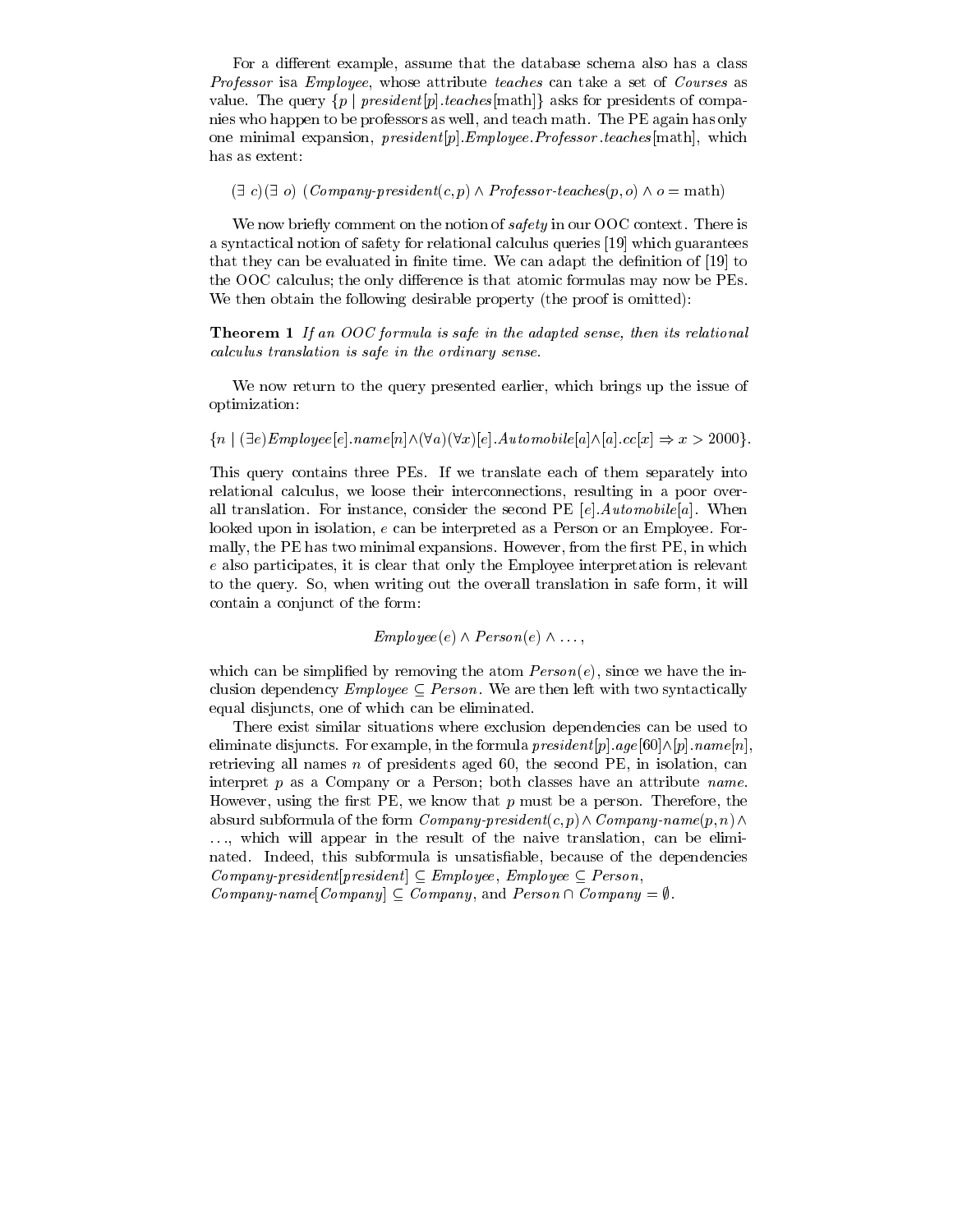For a different example, assume that the database schema also has a class Professor isa Employee, whose attribute teaches can take a set of Courses as value. The query  $\{p\}$  president positional math  $\}$  asks for presidents of companies who happen to be professors as well and teach math The PE again has only one minimal expansion,  $present[p]$ . *Employee* Professor teaches  $[math]$ , which has as extent

 $\Box$  C)( $\Box$  O)(Company-president(C, p)  $\land$  Professor-leaches(p, O)  $\land$  O  $=$  math)

we now because commentation on the notion of safety in our OOC contexts in our OOC contexts in a syntactical notion of safety for relational calculus queries [19] which guarantees that they can be evaluated in nite time they can adapt the denition of  $\mathbb{R}^n$ the OOC calculus; the only difference is that atomic formulas may now be PEs. We then obtain the following desirable property (the proof is omitted):

**Theorem 1** If an OOC formula is safe in the adapted sense, then its relational calculus translation is safe in the ordinary sense-

We now return to the query presented earlier, which brings up the issue of optimization

 $\{n \mid \exists e\}$  Employee  $|e|$ .  $name |n| \wedge (\forall u)(\forall x)[e]$ . Automobile  $|a| \wedge |a|$ .  $cc |x| \Rightarrow x >$  2000  $\}$ .

This query contains three PEs If we translate each of them separately into relational calculus, we loose their interconnections, resulting in a poor overall translations in the second PE experiment in the second and performance  $\mathcal{L}$ looked upon in isolation e can be interpreted as a Person or an Employee For mally the PE has two minimal expansions However from the rst PE in which  $e$  also participates, it is clear that only the Employee interpretation is relevant to the query So when writing out the overall translation in safe form it will contain a conjunct of the form

 $E$ mployee $(e) \wedge F$ erson $(e) \wedge \ldots$ 

which can be simplicity to the catch  $\alpha$  and  $\alpha$  atom Persone-International the international  $\alpha$ clusion dependency  ${\it{improper}}$   $\in$   ${\it{Person.}}$  we are then left with two syntactically equal disjuncts, one of which can be eliminated.

There exist similar situations where exclusion dependencies can be used to eliminate disjuncts. For example, in the formula  $\mathit{presiaen}$  [p].  $\mathit{age}$  [00] $\wedge$  [p].  $\mathit{name}$  [n], retrieving all names n of presidents aged  $60$ , the second PE, in isolation, can interpret  $p$  as a Company or a Person; both classes have an attribute *name*. However using the rst PE we know that p must be a person Therefore the absurd subformula of the form  $\mathcal{C}ompany\text{-}presiaen((\mathcal{C},p) \wedge \mathcal{C}ompany\text{-}name(p,n) \wedge$ ..., which will appear in the result of the naive translation, can be eliminated the indeed the substantial is understanding the dependence of the dependence of the dependence of the dependence Company-president[president]  $\subseteq$  Employee, Employee  $\subseteq$  Person,<br>Company-name[Company]  $\subseteq$  Company, and Person  $\cap$  Company =  $\emptyset$ .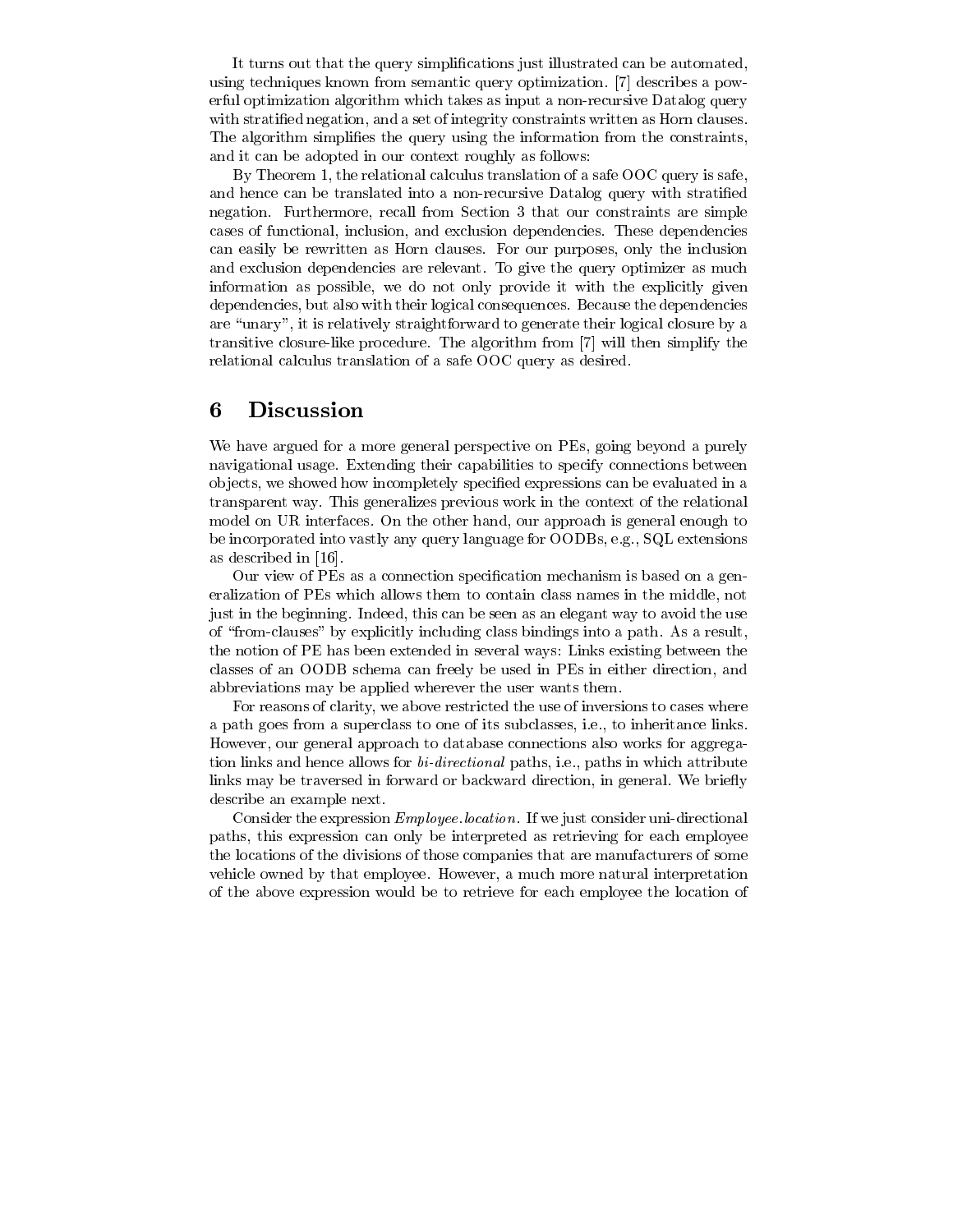It turns out that the query simplications just illustrated can be automated using techniques known from semantic query optimization optimization optimization optimization optimization op erful optimization algorithm which takes as input a non-recursive Datalog query with stratified negation, and a set of integrity constraints written as Horn clauses. The algorithm simplifies the query using the information from the constraints, and it can be adopted in our context roughly as follows

By Theorem 1, the relational calculus translation of a safe  $OOC$  query is safe, and hence can be translated into a non-recursive Datalog query with stratified negation Furthermore recall from Section that our constraints are simple cases of functional inclusion and exclusion dependencies These dependencies can easily be rewritten as Horn clauses For our purposes only the inclusion and exclusion dependencies are relevant To give the query optimizer as much information as possible, we do not only provide it with the explicitly given dependencies but also with their logical consequences Because the dependencies are "unary", it is relatively straightforward to generate their logical closure by a transitive closurely and procedure in the algorithm from the algorithm from  $\mu$  and  $\mu$ relational calculus translation of a safe OOC query as desired

## Discussion

We have argued for a more general perspective on PEs, going beyond a purely navigational usage Extending their capabilities to specify connections between objects, we showed how incompletely specified expressions can be evaluated in a transparent way This generalizes previous work in the context of the relational model on UR interfaces On the other hand our approach is general enough to be incorporated into vastly any query language for OODBs e g SQL extensions as described in 

Our view of PEs as a connection specification mechanism is based on a generalization of PEs which allows them to contain class names in the middle not just in the beginning Indeed this can be seen as an elegant way to avoid the use of fromclauses by explicitly including class bindings into a path As a result the notion of PE has been extended in several ways: Links existing between the classes of an OODB schema can freely be used in PEs in either direction and abbreviations may be applied wherever the user wants them

For reasons of clarity, we above restricted the use of inversions to cases where a paths grass school in happy continue in the subclass that subclass in the complete interest the complete However, our general approach to database connections also works for aggregation links and the state allows for bidirections in paths in paths in paths in which at the state of the state links may be traversed in forward or backward direction in general We briey describe an example next

Consider the expression Employee location If we just consider unidirectional paths, this expression can only be interpreted as retrieving for each employee the locations of the divisions of those companies that are manufacturers of some vehicle owned by their employees more natural interpretations more natural interpretations in of the above expression would be to retrieve for each employee the location of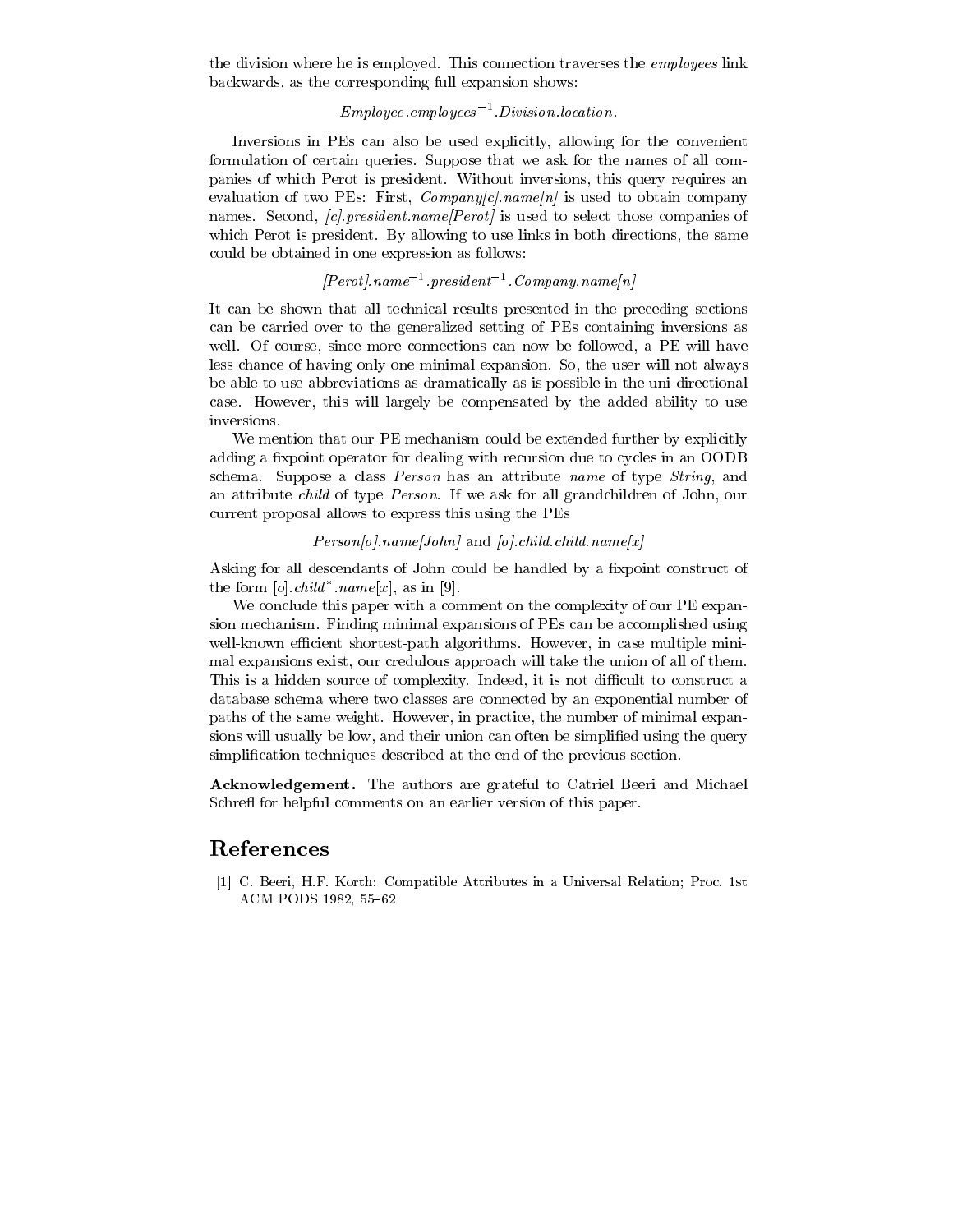the division where he is employed the islam the employed the employed the employees links backwards, as the corresponding full expansion shows:

## Employee employees Division location

Inversions in PEs can also be used explicitly allowing for the convenient formulation of certain queries Suppose that we ask for the names of all com paries of without Persons presidents. Without inversions the contract of the party requires and evaluation of two PEs First Companyc-namen is used to obtain company names sources president companies of the second to select the select those companies of which Perot is president is president to use links in both directions in both directions in both directions in could be obtained in one expression as follows

## rerot, name president Company.nament

It can be shown that all technical results presented in the preceding sections can be carried over to the generalized setting of PEs containing inversions as well as a course since more connections connections can now be followed a PE will have followed a PE will have less chance of having only one minimal expansion So the user will not always be able to use abbreviations as dramatically as is possible in the uni-directional case the case of the competence of the additional by the additional contracts of the ability to use the competition of the competition of the competition of the competition of the competition of the competition of the comp inversions

We mention that our PE mechanism could be extended further by explicitly adding a fixpoint operator for dealing with recursion due to cycles in an OODB schematic schema class Person has an attribute name of type String and type String and type String and type String and an attribute child of type Person If we ask for all grandchildren of John our current proposal allows to express this using the PEs

## nameter in the child-child-child-child-child-child-child-child-child-child-child-child-child-child-child-child-

Asking for all descendants of John could be handled by a fixpoint construct of the form  $|o|$  *child name*  $|x|$ , as in  $|9|$ .

We conclude this paper with a comment on the complexity of our PE expan sion mechanism a finding minimal expansions of PES can be accomplished using the most  $\pi$ wellknown economic shortest shortest shortest path algorithms are multiple minimized minimized multiple minimized minimized materials of the case multiple minimized materials of the case multiple minimized materials of the mal expansions exist, our credulous approach will take the union of all of them. This is a hidden source of complexity Indeed it is not dicult to construct a database schema where two classes are connected by an exponential number of paths of the same weight: However in practice the number of minimal expansion  $\sim$ sions will usually be low, and their union can often be simplified using the query simplification techniques described at the end of the previous section.

Acknowledgement. The authors are grateful to Catriel Beeri and Michael Schreff for helpful comments on an earlier version of this paper.

## References

  C- Beeri H-F- Korth Compatible Attributes in a Universal Relation Proc- st ACM PODS 1982, 55-62